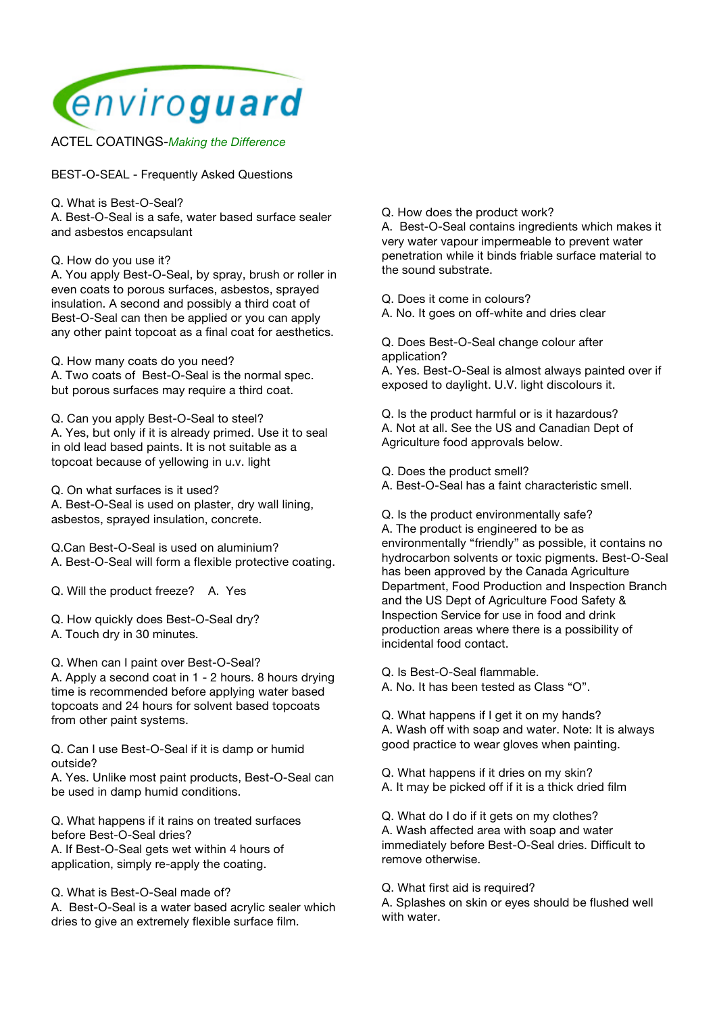

ACTEL COATINGS-*Making the Difference*

BEST-O-SEAL - Frequently Asked Questions

Q. What is Best-O-Seal?

A. Best-O-Seal is a safe, water based surface sealer and asbestos encapsulant

Q. How do you use it?

A. You apply Best-O-Seal, by spray, brush or roller in even coats to porous surfaces, asbestos, sprayed insulation. A second and possibly a third coat of Best-O-Seal can then be applied or you can apply any other paint topcoat as a final coat for aesthetics.

Q. How many coats do you need?

A. Two coats of Best-O-Seal is the normal spec. but porous surfaces may require a third coat.

Q. Can you apply Best-O-Seal to steel? A. Yes, but only if it is already primed. Use it to seal in old lead based paints. It is not suitable as a topcoat because of yellowing in u.v. light

Q. On what surfaces is it used? A. Best-O-Seal is used on plaster, dry wall lining, asbestos, sprayed insulation, concrete.

Q.Can Best-O-Seal is used on aluminium?

A. Best-O-Seal will form a flexible protective coating.

Q. Will the product freeze? A. Yes

- Q. How quickly does Best-O-Seal dry?
- A. Touch dry in 30 minutes.

Q. When can I paint over Best-O-Seal?

A. Apply a second coat in 1 - 2 hours. 8 hours drying time is recommended before applying water based topcoats and 24 hours for solvent based topcoats from other paint systems.

Q. Can I use Best-O-Seal if it is damp or humid outside?

A. Yes. Unlike most paint products, Best-O-Seal can be used in damp humid conditions.

Q. What happens if it rains on treated surfaces before Best-O-Seal dries? A. If Best-O-Seal gets wet within 4 hours of

application, simply re-apply the coating.

Q. What is Best-O-Seal made of?

A. Best-O-Seal is a water based acrylic sealer which dries to give an extremely flexible surface film.

Q. How does the product work?

A. Best-O-Seal contains ingredients which makes it very water vapour impermeable to prevent water penetration while it binds friable surface material to the sound substrate.

Q. Does it come in colours?

A. No. It goes on off-white and dries clear

Q. Does Best-O-Seal change colour after application?

A. Yes. Best-O-Seal is almost always painted over if exposed to daylight. U.V. light discolours it.

Q. Is the product harmful or is it hazardous? A. Not at all. See the US and Canadian Dept of Agriculture food approvals below.

Q. Does the product smell?

A. Best-O-Seal has a faint characteristic smell.

Q. Is the product environmentally safe? A. The product is engineered to be as environmentally "friendly" as possible, it contains no hydrocarbon solvents or toxic pigments. Best-O-Seal has been approved by the Canada Agriculture Department, Food Production and Inspection Branch and the US Dept of Agriculture Food Safety & Inspection Service for use in food and drink production areas where there is a possibility of incidental food contact.

Q. Is Best-O-Seal flammable.

A. No. It has been tested as Class "O".

Q. What happens if I get it on my hands? A. Wash off with soap and water. Note: It is always good practice to wear gloves when painting.

Q. What happens if it dries on my skin?

A. It may be picked off if it is a thick dried film

Q. What do I do if it gets on my clothes? A. Wash affected area with soap and water immediately before Best-O-Seal dries. Difficult to remove otherwise.

Q. What first aid is required?

A. Splashes on skin or eyes should be flushed well with water.